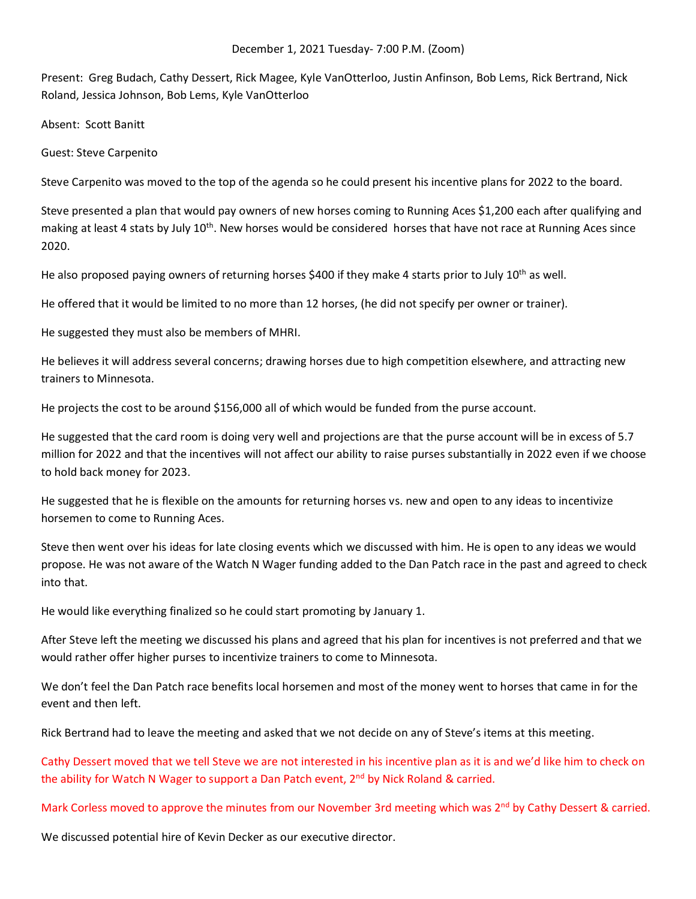Present: Greg Budach, Cathy Dessert, Rick Magee, Kyle VanOtterloo, Justin Anfinson, Bob Lems, Rick Bertrand, Nick Roland, Jessica Johnson, Bob Lems, Kyle VanOtterloo

Absent: Scott Banitt

Guest: Steve Carpenito

Steve Carpenito was moved to the top of the agenda so he could present his incentive plans for 2022 to the board.

Steve presented a plan that would pay owners of new horses coming to Running Aces \$1,200 each after qualifying and making at least 4 stats by July 10<sup>th</sup>. New horses would be considered horses that have not race at Running Aces since 2020.

He also proposed paying owners of returning horses \$400 if they make 4 starts prior to July  $10^{th}$  as well.

He offered that it would be limited to no more than 12 horses, (he did not specify per owner or trainer).

He suggested they must also be members of MHRI.

He believes it will address several concerns; drawing horses due to high competition elsewhere, and attracting new trainers to Minnesota.

He projects the cost to be around \$156,000 all of which would be funded from the purse account.

He suggested that the card room is doing very well and projections are that the purse account will be in excess of 5.7 million for 2022 and that the incentives will not affect our ability to raise purses substantially in 2022 even if we choose to hold back money for 2023.

He suggested that he is flexible on the amounts for returning horses vs. new and open to any ideas to incentivize horsemen to come to Running Aces.

Steve then went over his ideas for late closing events which we discussed with him. He is open to any ideas we would propose. He was not aware of the Watch N Wager funding added to the Dan Patch race in the past and agreed to check into that.

He would like everything finalized so he could start promoting by January 1.

After Steve left the meeting we discussed his plans and agreed that his plan for incentives is not preferred and that we would rather offer higher purses to incentivize trainers to come to Minnesota.

We don't feel the Dan Patch race benefits local horsemen and most of the money went to horses that came in for the event and then left.

Rick Bertrand had to leave the meeting and asked that we not decide on any of Steve's items at this meeting.

Cathy Dessert moved that we tell Steve we are not interested in his incentive plan as it is and we'd like him to check on the ability for Watch N Wager to support a Dan Patch event, 2<sup>nd</sup> by Nick Roland & carried.

Mark Corless moved to approve the minutes from our November 3rd meeting which was  $2^{nd}$  by Cathy Dessert & carried.

We discussed potential hire of Kevin Decker as our executive director.